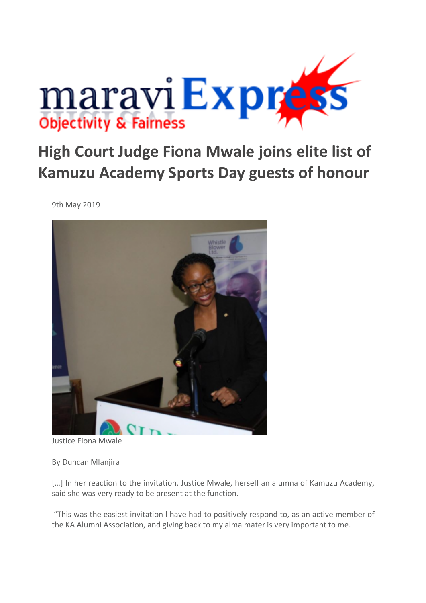

## **High Court Judge Fiona Mwale joins elite list of Kamuzu Academy Sports Day guests of honour**

9th May 2019



Justice Fiona Mwale

By Duncan Mlanjira

[...] In her reaction to the invitation, Justice Mwale, herself an alumna of Kamuzu Academy, said she was very ready to be present at the function.

"This was the easiest invitation l have had to positively respond to, as an active member of the KA Alumni Association, and giving back to my alma mater is very important to me.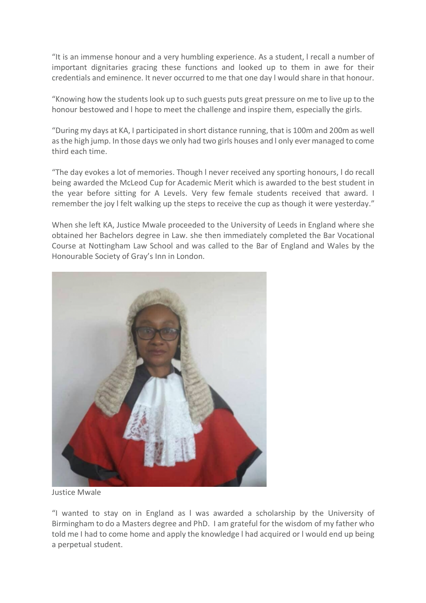"It is an immense honour and a very humbling experience. As a student, l recall a number of important dignitaries gracing these functions and looked up to them in awe for their credentials and eminence. It never occurred to me that one day l would share in that honour.

"Knowing how the students look up to such guests puts great pressure on me to live up to the honour bestowed and l hope to meet the challenge and inspire them, especially the girls.

"During my days at KA, I participated in short distance running, that is 100m and 200m as well as the high jump. In those days we only had two girls houses and l only ever managed to come third each time.

"The day evokes a lot of memories. Though l never received any sporting honours, l do recall being awarded the McLeod Cup for Academic Merit which is awarded to the best student in the year before sitting for A Levels. Very few female students received that award. I remember the joy l felt walking up the steps to receive the cup as though it were yesterday."

When she left KA, Justice Mwale proceeded to the University of Leeds in England where she obtained her Bachelors degree in Law. she then immediately completed the Bar Vocational Course at Nottingham Law School and was called to the Bar of England and Wales by the Honourable Society of Gray's Inn in London.



Justice Mwale

"I wanted to stay on in England as l was awarded a scholarship by the University of Birmingham to do a Masters degree and PhD. I am grateful for the wisdom of my father who told me I had to come home and apply the knowledge l had acquired or l would end up being a perpetual student.